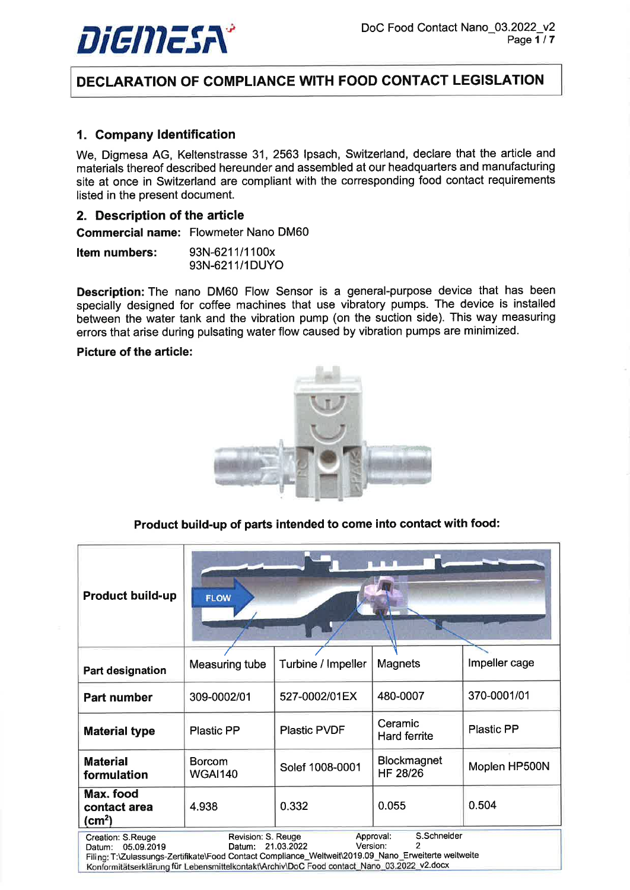

# DECLARATION OF COMPLIANCE WITH FOOD GONTACT LEGISLATION

## 1. Gompany ldentification

We, Digmesa AG, Keltenstrasse 31, 2563 Ipsach, Switzerland, declare that the article and materials thereof described hereunder and assembled at our headquarters and manufacturing site at once in Switzerland are compliant with the corresponding food contact requirements listed in the present document.

### 2. Description of the article

Commercial name: Flowmeter Nano DM60

| <b>Item numbers:</b> | 93N-6211/1100x |
|----------------------|----------------|
|                      | 93N-6211/1DUYO |

Description: The nano DM60 Flow Sensor is a general-purpose device that has been specially designed for coffee machines that use vibratory pumps. The device is installed between the water tank and the vibration pump (on the suction side). This way measuring errors that arise during pulsating water flow caused by vibration pumps are minimized.

#### Picture of the article:



Product build-up of parts intended to come into contact with food:

| <b>Product build-up</b>                                                                                                                                                                                                                                                                                                                    | <b>FLOW</b>                                                                              |                    |                                |               |
|--------------------------------------------------------------------------------------------------------------------------------------------------------------------------------------------------------------------------------------------------------------------------------------------------------------------------------------------|------------------------------------------------------------------------------------------|--------------------|--------------------------------|---------------|
| Part designation                                                                                                                                                                                                                                                                                                                           | Measuring tube                                                                           | Turbine / Impeller | Magnets                        | Impeller cage |
| <b>Part number</b>                                                                                                                                                                                                                                                                                                                         | 309-0002/01                                                                              | 527-0002/01EX      | 480-0007                       | 370-0001/01   |
| <b>Material type</b>                                                                                                                                                                                                                                                                                                                       | Ceramic<br><b>Plastic PP</b><br><b>Plastic PVDF</b><br><b>Plastic PP</b><br>Hard ferrite |                    |                                |               |
| <b>Material</b><br>formulation                                                                                                                                                                                                                                                                                                             | <b>Borcom</b><br><b>WGAI140</b>                                                          | Solef 1008-0001    | <b>Blockmagnet</b><br>HF 28/26 | Moplen HP500N |
| Max. food<br>contact area<br>(cm <sup>2</sup> )                                                                                                                                                                                                                                                                                            | 4.938                                                                                    | 0.332              | 0.055                          | 0.504         |
| S.Schneider<br>Revision: S. Reuge<br>Approval:<br>Creation: S.Reuge<br>2<br>Version:<br>21.03.2022<br>05.09.2019<br>Datum:<br>Datum:<br>Filing: T:\Zulassungs-Zertifikate\Food Contact Compliance_Weltweit\2019.09_Nano_Erweiterte weltweite<br>Konformitätserklärung für Lebensmittelkontakt\Archiv\DoC Food contact_Nano_03.2022_v2.docx |                                                                                          |                    |                                |               |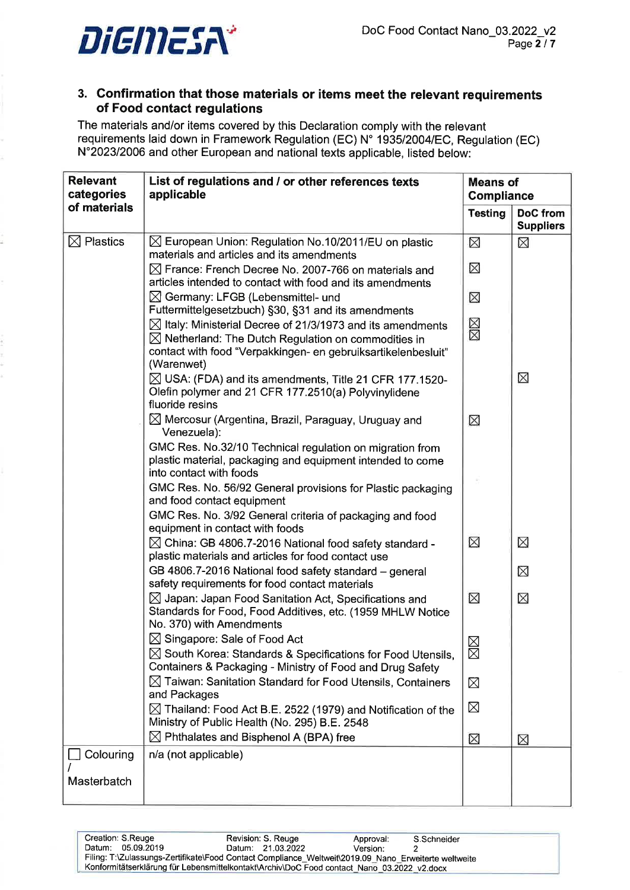

# 3. Confirmation that those materials or items meet the relevant requirements of Food contact regulations

The materials and/or items covered by this Declaration comply with the relevant requirements laid down in Framework Regulation (EC) N' 1935120041EC, Regulation (EC) N"202312006 and other European and national texts applicable, listed below:

| <b>Relevant</b><br>categories | List of regulations and / or other references texts<br>applicable                                                                                          |                | <b>Means of</b><br><b>Compliance</b> |
|-------------------------------|------------------------------------------------------------------------------------------------------------------------------------------------------------|----------------|--------------------------------------|
| of materials                  |                                                                                                                                                            | <b>Testing</b> | <b>DoC</b> from<br><b>Suppliers</b>  |
| $\boxtimes$ Plastics          | $\boxtimes$ European Union: Regulation No.10/2011/EU on plastic<br>materials and articles and its amendments                                               | $\boxtimes$    | ⊠                                    |
|                               | $\boxtimes$ France: French Decree No. 2007-766 on materials and                                                                                            | ⊠              |                                      |
|                               | articles intended to contact with food and its amendments                                                                                                  |                |                                      |
|                               | $\boxtimes$ Germany: LFGB (Lebensmittel- und<br>Futtermittelgesetzbuch) §30, §31 and its amendments                                                        | ⊠              |                                      |
|                               | $\boxtimes$ Italy: Ministerial Decree of 21/3/1973 and its amendments                                                                                      |                |                                      |
|                               | $\boxtimes$ Netherland: The Dutch Regulation on commodities in                                                                                             | ⊠⊠             |                                      |
|                               | contact with food "Verpakkingen- en gebruiksartikelenbesluit"<br>(Warenwet)                                                                                |                |                                      |
|                               | $\boxtimes$ USA: (FDA) and its amendments, Title 21 CFR 177.1520-<br>Olefin polymer and 21 CFR 177.2510(a) Polyvinylidene<br>fluoride resins               |                | ⊠                                    |
|                               | $\boxtimes$ Mercosur (Argentina, Brazil, Paraguay, Uruguay and<br>Venezuela):                                                                              | ⊠              |                                      |
|                               | GMC Res. No.32/10 Technical regulation on migration from<br>plastic material, packaging and equipment intended to come<br>into contact with foods          |                |                                      |
|                               | GMC Res. No. 56/92 General provisions for Plastic packaging<br>and food contact equipment                                                                  |                |                                      |
|                               | GMC Res. No. 3/92 General criteria of packaging and food<br>equipment in contact with foods                                                                |                |                                      |
|                               | $\boxtimes$ China: GB 4806.7-2016 National food safety standard -<br>plastic materials and articles for food contact use                                   | ⊠              | X                                    |
|                               | GB 4806.7-2016 National food safety standard - general<br>safety requirements for food contact materials                                                   |                | ⊠                                    |
|                               | $\boxtimes$ Japan: Japan Food Sanitation Act, Specifications and<br>Standards for Food, Food Additives, etc. (1959 MHLW Notice<br>No. 370) with Amendments | $\boxtimes$    | $\boxtimes$                          |
|                               | $\boxtimes$ Singapore: Sale of Food Act                                                                                                                    | $\boxtimes$    |                                      |
|                               | $\boxtimes$ South Korea: Standards & Specifications for Food Utensils,<br>Containers & Packaging - Ministry of Food and Drug Safety                        | $\boxtimes$    |                                      |
|                               | $\boxtimes$ Taiwan: Sanitation Standard for Food Utensils, Containers<br>and Packages                                                                      | ⊠              |                                      |
|                               | $\boxtimes$ Thailand: Food Act B.E. 2522 (1979) and Notification of the<br>Ministry of Public Health (No. 295) B.E. 2548                                   | ⊠              |                                      |
|                               | $\boxtimes$ Phthalates and Bisphenol A (BPA) free                                                                                                          | $\boxtimes$    | $\boxtimes$                          |
| Colouring                     | n/a (not applicable)                                                                                                                                       |                |                                      |
| Masterbatch                   |                                                                                                                                                            |                |                                      |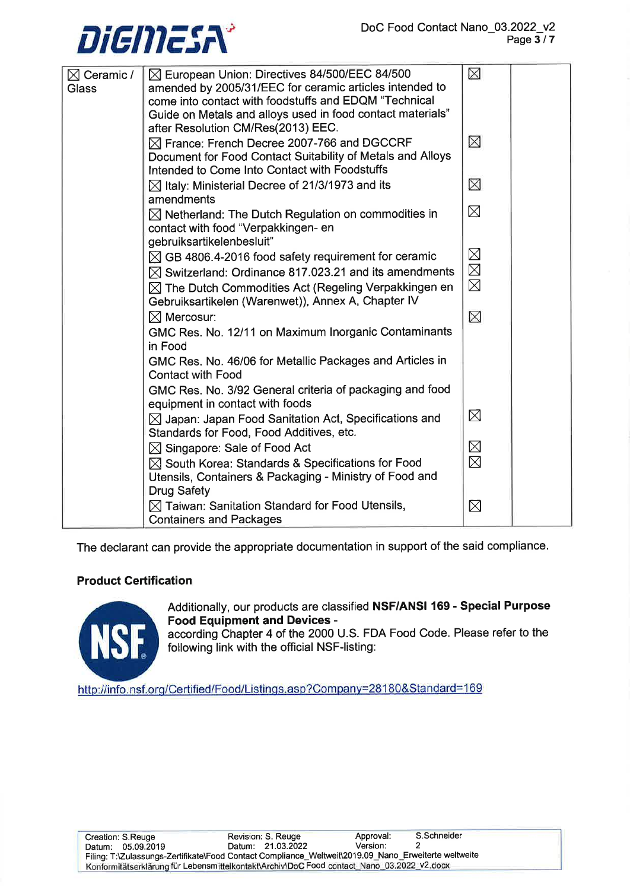

| $\boxtimes$ Ceramic / | $\boxtimes$ European Union: Directives 84/500/EEC 84/500                                                                | ⊠           |  |
|-----------------------|-------------------------------------------------------------------------------------------------------------------------|-------------|--|
| Glass                 | amended by 2005/31/EEC for ceramic articles intended to<br>come into contact with foodstuffs and EDQM "Technical        |             |  |
|                       | Guide on Metals and alloys used in food contact materials"                                                              |             |  |
|                       | after Resolution CM/Res(2013) EEC.                                                                                      |             |  |
|                       | $\boxtimes$ France: French Decree 2007-766 and DGCCRF                                                                   | ⊠           |  |
|                       | Document for Food Contact Suitability of Metals and Alloys                                                              |             |  |
|                       | Intended to Come Into Contact with Foodstuffs                                                                           |             |  |
|                       | $\boxtimes$ Italy: Ministerial Decree of 21/3/1973 and its                                                              | ⊠           |  |
|                       | amendments                                                                                                              | $\boxtimes$ |  |
|                       | $\boxtimes$ Netherland: The Dutch Regulation on commodities in<br>contact with food "Verpakkingen- en                   |             |  |
|                       | gebruiksartikelenbesluit"                                                                                               |             |  |
|                       | $\boxtimes$ GB 4806.4-2016 food safety requirement for ceramic                                                          | $\boxtimes$ |  |
|                       | $\boxtimes$ Switzerland: Ordinance 817.023.21 and its amendments                                                        | $\boxtimes$ |  |
|                       | $\boxtimes$ The Dutch Commodities Act (Regeling Verpakkingen en                                                         | $\boxtimes$ |  |
|                       | Gebruiksartikelen (Warenwet)), Annex A, Chapter IV                                                                      |             |  |
|                       | $\boxtimes$ Mercosur:                                                                                                   | $\boxtimes$ |  |
|                       | GMC Res. No. 12/11 on Maximum Inorganic Contaminants<br>in Food                                                         |             |  |
|                       | GMC Res. No. 46/06 for Metallic Packages and Articles in                                                                |             |  |
|                       | <b>Contact with Food</b>                                                                                                |             |  |
|                       | GMC Res. No. 3/92 General criteria of packaging and food                                                                |             |  |
|                       | equipment in contact with foods                                                                                         |             |  |
|                       | $\boxtimes$ Japan: Japan Food Sanitation Act, Specifications and                                                        | $\boxtimes$ |  |
|                       | Standards for Food, Food Additives, etc.                                                                                |             |  |
|                       | $\boxtimes$ Singapore: Sale of Food Act                                                                                 | $\boxtimes$ |  |
|                       | $\boxtimes$ South Korea: Standards & Specifications for Food<br>Utensils, Containers & Packaging - Ministry of Food and | $\boxtimes$ |  |
|                       | <b>Drug Safety</b>                                                                                                      |             |  |
|                       | $\boxtimes$ Taiwan: Sanitation Standard for Food Utensils,<br><b>Containers and Packages</b>                            | ⊠           |  |

The declarant can provide the appropriate documentation in support of the said compliance.

## **Product Certification**



Additionally, our products are classified NSF/ANSI 169 - Special Purpose **Food Equipment and Devices -**

according Chapter 4 of the 2000 U.S. FDA Food Code. Please refer to the following link with the official NSF-listing:

http://info.nsf.org/Certified/Food/Listings.asp?Company=28180&Standard=169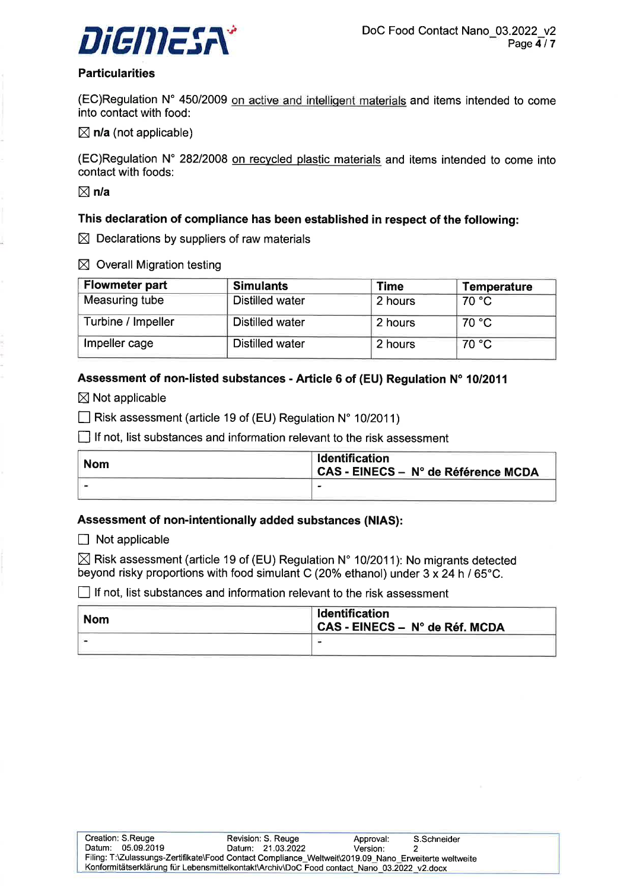

#### **Particularities**

(EC)Regulation N° 450/2009 on active and intelligent materials and items intended to come into contact with food:

 $\boxtimes$  n/a (not applicable)

(EC)Regulation N' 28212008 on recvcled plastic materials and items intended to come into contact with foods:

 $\boxtimes$  n/a

### This declaration of compliance has been established in respect of the following:

 $\boxtimes$  Declarations by suppliers of raw materials

 $\boxtimes$  Overall Migration testing

| <b>Flowmeter part</b> | <b>Simulants</b>       | <b>Time</b> | Temperature |
|-----------------------|------------------------|-------------|-------------|
| Measuring tube        | <b>Distilled water</b> | 2 hours     | 70 °C       |
| Turbine / Impeller    | <b>Distilled water</b> | 2 hours     | 70 °C       |
| Impeller cage         | <b>Distilled water</b> | 2 hours     | 70 °C       |

## Assessment of non-listed substances - Article 6 of (EU) Regulation N' 10/2011

 $\boxtimes$  Not applicable

 $\Box$  Risk assessment (article 19 of (EU) Regulation N° 10/2011)

 $\Box$  If not, list substances and information relevant to the risk assessment

| <b>Nom</b> | Identification<br>CAS - EINECS - N° de Référence MCDA |
|------------|-------------------------------------------------------|
|            | $\overline{\phantom{0}}$                              |

#### Assessment of non-intentionally added substances (NIAS):

 $\Box$  Not applicable

 $\boxtimes$  Risk assessment (article 19 of (EU) Regulation N° 10/2011): No migrants detected beyond risky proportions with food simulant C (20% ethanol) under  $3 \times 24$  h / 65°C.

 $\Box$  If not, list substances and information relevant to the risk assessment

| <b>Nom</b> | <b>Identification</b><br>CAS - EINECS - N° de Réf. MCDA |
|------------|---------------------------------------------------------|
|            |                                                         |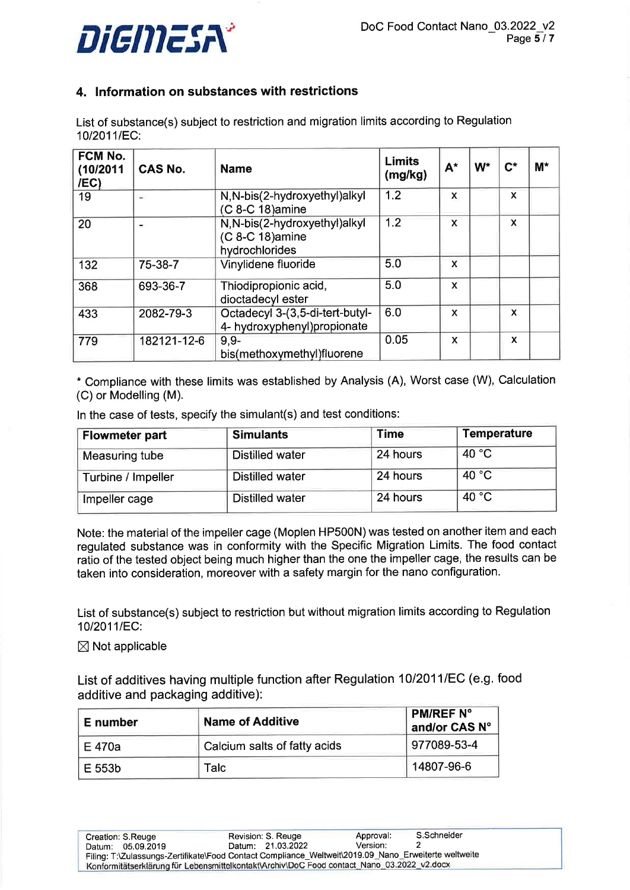

# 4. lnformation on substances with restrictions

List of substance(s) subject to restriction and migration limits according to Regulation 10/2011/EC:

| FCM No.<br>(10/2011<br>/EC) | <b>CAS No.</b> | <b>Name</b>                                                         | <b>Limits</b><br>(mg/kg) | $A^*$                     | W <sup>*</sup> | $\mathsf{C}^*$ | $M^*$ |
|-----------------------------|----------------|---------------------------------------------------------------------|--------------------------|---------------------------|----------------|----------------|-------|
| 19                          | ÷.             | N, N-bis(2-hydroxyethyl)alkyl<br>(C 8-C 18) amine                   | 1.2                      | $\mathbf x$               |                | X              |       |
| 20                          | $\blacksquare$ | N, N-bis(2-hydroxyethyl)alkyl<br>(C 8-C 18) amine<br>hydrochlorides | 1.2                      | X                         |                | X              |       |
| 132                         | 75-38-7        | Vinylidene fluoride                                                 | 5.0                      | $\mathbf x$               |                |                |       |
| 368                         | 693-36-7       | Thiodipropionic acid,<br>dioctadecyl ester                          | 5.0                      | X                         |                |                |       |
| 433                         | 2082-79-3      | Octadecyl 3-(3,5-di-tert-butyl-<br>4- hydroxyphenyl) propionate     | 6.0                      | $\boldsymbol{\mathsf{x}}$ |                | $\mathsf{x}$   |       |
| 779                         | 182121-12-6    | $9.9 -$<br>bis(methoxymethyl)fluorene                               | 0.05                     | X                         |                | X              |       |

\* Compliance with these limits was established by Analysis (A), Worst case (W), Calculation (C) or Modelling (M).

ln the case of tests, specify the simulant(s) and test conditions:

| <b>Flowmeter part</b> | <b>Simulants</b>       | Time     | <b>Temperature</b> |
|-----------------------|------------------------|----------|--------------------|
| Measuring tube        | <b>Distilled water</b> | 24 hours | 40 $^{\circ}$ C    |
| Turbine / Impeller    | <b>Distilled water</b> | 24 hours | 40 °C              |
| Impeller cage         | <b>Distilled water</b> | 24 hours | 40 °C              |

Note: the material of the impeller cage (Moplen HP500N) was tested on another item and each regulated substance was in conformity with the Specific Migration Limits. The food contact ratio of the tested object being much higher than the one the impeller cage, the results can be taken into consideration, moreover with a safety margin for the nano configuration.

List of substance(s) subject to restriction but without migration limits according to Regulation 10/2011/EC:

# $\boxtimes$  Not applicable

List of additives having multiple function after Regulation 10/2011/EC (e.g. food additive and packaging additive):

| E number | <b>Name of Additive</b>      | <b>PM/REF N°</b><br>and/or CAS N° |
|----------|------------------------------|-----------------------------------|
| E 470a   | Calcium salts of fatty acids | 977089-53-4                       |
| E 553b   | Talc                         | 14807-96-6                        |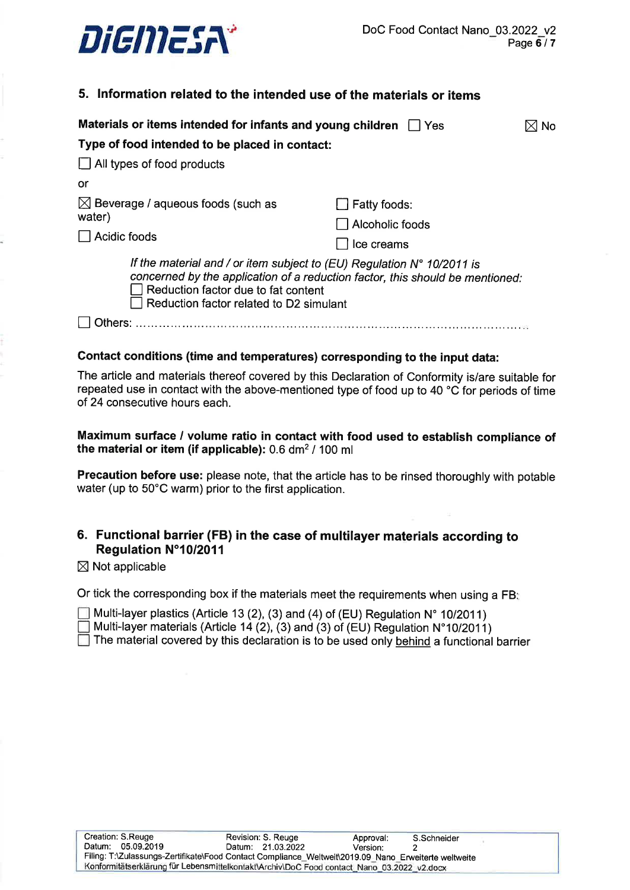

## 5. lnformation related to the intended use of the materials or items

| Materials or items intended for infants and young children<br><b>Yes</b>                                                                                                                                                                           |                 |  |  |  |
|----------------------------------------------------------------------------------------------------------------------------------------------------------------------------------------------------------------------------------------------------|-----------------|--|--|--|
| Type of food intended to be placed in contact:                                                                                                                                                                                                     |                 |  |  |  |
| $\Box$ All types of food products                                                                                                                                                                                                                  |                 |  |  |  |
| or                                                                                                                                                                                                                                                 |                 |  |  |  |
| $\boxtimes$ Beverage / aqueous foods (such as<br>Fatty foods:                                                                                                                                                                                      |                 |  |  |  |
| water)                                                                                                                                                                                                                                             | Alcoholic foods |  |  |  |
| Acidic foods<br>Ice creams                                                                                                                                                                                                                         |                 |  |  |  |
| If the material and / or item subject to (EU) Regulation $N^{\circ}$ 10/2011 is<br>concerned by the application of a reduction factor, this should be mentioned:<br>Reduction factor due to fat content<br>Reduction factor related to D2 simulant |                 |  |  |  |
|                                                                                                                                                                                                                                                    |                 |  |  |  |

#### Contact conditions (time and temperatures) corresponding to the input data:

The article and materials thereof covered by this Declaration of Conformity is/are suitable for repeated use in contact with the above-mentioned type of food up to 40 °C for periods of time of 24 consecutive hours each.

Maximum surface / volume ratio in contact with food used to establish compliance of the material or item (if applicable):  $0.6$  dm<sup>2</sup> / 100 ml

Precaution before use: please note, that the article has to be rinsed thoroughly with potable water (up to 50'C warm) prior to the first application.

## 6. Functional barrier (FB) in the case of multilayer materials according to Regulation N°10/2011

 $\boxtimes$  Not applicable

Or tick the corresponding box if the materials meet the requirements when using a FB:

Multi-layer plastics (Article 13 (2), (3) and (4) of (EU) Regulation  $N^{\circ}$  10/2011)

Multi-layer materials (Article 14 (2), (3) and (3) of (EU) Regulation N°10/2011)

 $\Box$  The material covered by this declaration is to be used only behind a functional barrier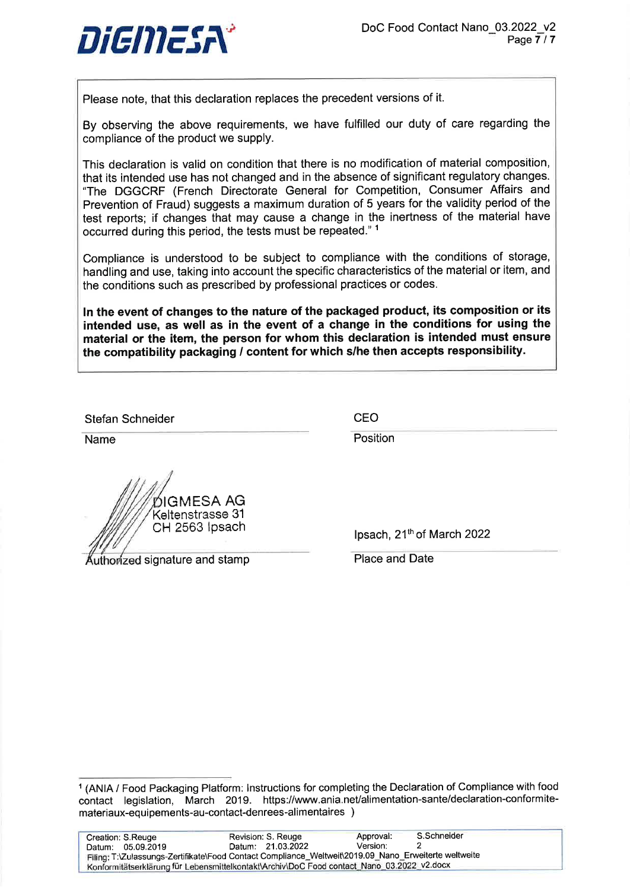

Please note, that this declaration replaces the precedent versions of it.

By observing the above requirements, we have fulfilled our duty of care regarding the compliance of the product we supply.

This declaration is valid on condition that there is no modification of material composition, that its intended use has not changed and in the absence of significant regulatory changes. "The DGGCRF (French Directorate General for Competition, Consumer Affairs and Prevention of Fraud) suggests a maximum duration of 5 years for the validity period of the test reports; if changes that may cause a change in the inertness of the material have occurred during this period, the tests must be repeated."<sup>1</sup>

Compliance is understood to be subject to compliance with the conditions of storage, handling and use, taking into account the specific characteristics of the material or item, and the conditions such as prescribed by professional practices or codes.

ln the event of changes to the nature of the packaged product, its composition or its intended use, as well as in the event of a change in the conditions for using the material or the item, the person for whom this declaration is intended must ensure the compatibility packaging / content for which s/he then accepts responsibility.

Stefan Schneider and CEO

Name **Position** 

DIGMESA AG Keltenstrasse 31<br>CH 2563 Ipsach

uthorized signature and stamp **Place and Date** 

lpsach, 21<sup>th</sup> of March 2022

<sup>1</sup>(ANIA / Food Packaging Platform: lnstructions for completing the Declaration of Compliance with food contact legislation, March 2019. https://www.ania.net/alimentation-sante/declaration-conformitemateriaux-equipements-au-contact-denrees-alimentaires )